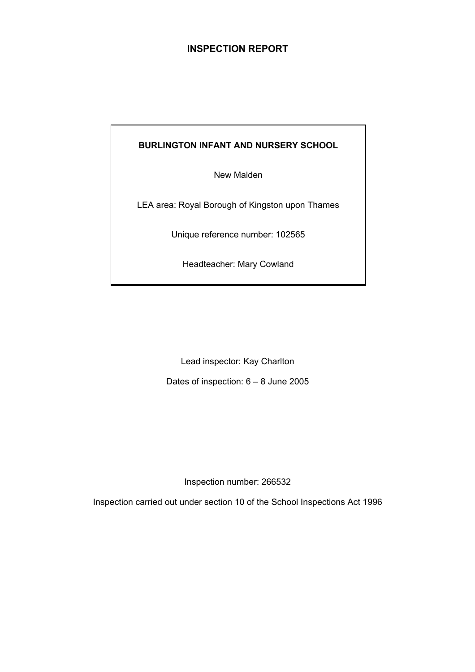# **INSPECTION REPORT**

# **BURLINGTON INFANT AND NURSERY SCHOOL**

New Malden

LEA area: Royal Borough of Kingston upon Thames

Unique reference number: 102565

Headteacher: Mary Cowland

Lead inspector: Kay Charlton

Dates of inspection: 6 – 8 June 2005

Inspection number: 266532

Inspection carried out under section 10 of the School Inspections Act 1996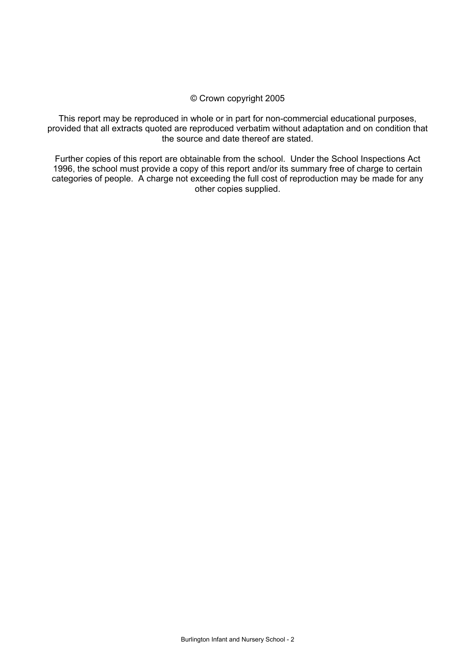### © Crown copyright 2005

This report may be reproduced in whole or in part for non-commercial educational purposes, provided that all extracts quoted are reproduced verbatim without adaptation and on condition that the source and date thereof are stated.

Further copies of this report are obtainable from the school. Under the School Inspections Act 1996, the school must provide a copy of this report and/or its summary free of charge to certain categories of people. A charge not exceeding the full cost of reproduction may be made for any other copies supplied.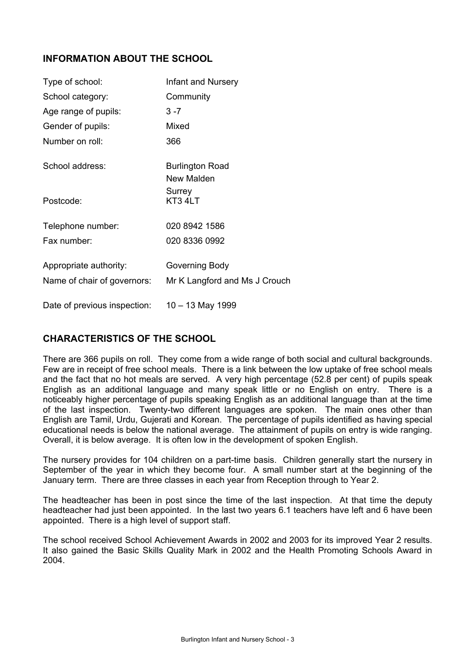# **INFORMATION ABOUT THE SCHOOL**

| Type of school:                                       | Infant and Nursery                              |
|-------------------------------------------------------|-------------------------------------------------|
| School category:                                      | Community                                       |
| Age range of pupils:                                  | $3 - 7$                                         |
| Gender of pupils:                                     | Mixed                                           |
| Number on roll:                                       | 366                                             |
| School address:                                       | <b>Burlington Road</b><br>New Malden            |
| Postcode:                                             | Surrey<br>KT3 4LT                               |
| Telephone number:                                     | 020 8942 1586                                   |
| Fax number:                                           | 020 8336 0992                                   |
| Appropriate authority:<br>Name of chair of governors: | Governing Body<br>Mr K Langford and Ms J Crouch |
| Date of previous inspection:                          | 10 - 13 May 1999                                |

# **CHARACTERISTICS OF THE SCHOOL**

There are 366 pupils on roll. They come from a wide range of both social and cultural backgrounds. Few are in receipt of free school meals. There is a link between the low uptake of free school meals and the fact that no hot meals are served. A very high percentage (52.8 per cent) of pupils speak English as an additional language and many speak little or no English on entry. There is a noticeably higher percentage of pupils speaking English as an additional language than at the time of the last inspection. Twenty-two different languages are spoken. The main ones other than English are Tamil, Urdu, Gujerati and Korean. The percentage of pupils identified as having special educational needs is below the national average. The attainment of pupils on entry is wide ranging. Overall, it is below average. It is often low in the development of spoken English.

The nursery provides for 104 children on a part-time basis. Children generally start the nursery in September of the year in which they become four. A small number start at the beginning of the January term. There are three classes in each year from Reception through to Year 2.

The headteacher has been in post since the time of the last inspection. At that time the deputy headteacher had just been appointed. In the last two years 6.1 teachers have left and 6 have been appointed. There is a high level of support staff.

The school received School Achievement Awards in 2002 and 2003 for its improved Year 2 results. It also gained the Basic Skills Quality Mark in 2002 and the Health Promoting Schools Award in 2004.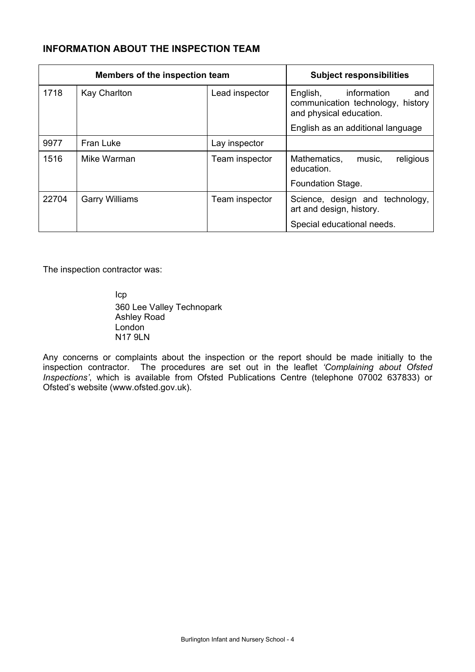# **INFORMATION ABOUT THE INSPECTION TEAM**

| Members of the inspection team |                       |                | <b>Subject responsibilities</b>                                                                |
|--------------------------------|-----------------------|----------------|------------------------------------------------------------------------------------------------|
| 1718                           | <b>Kay Charlton</b>   | Lead inspector | information<br>English,<br>and<br>communication technology, history<br>and physical education. |
|                                |                       |                | English as an additional language                                                              |
| 9977                           | Fran Luke             | Lay inspector  |                                                                                                |
| 1516                           | Mike Warman           | Team inspector | religious<br>Mathematics,<br>music,<br>education.                                              |
|                                |                       |                | Foundation Stage.                                                                              |
| 22704                          | <b>Garry Williams</b> | Team inspector | Science, design and technology,<br>art and design, history.                                    |
|                                |                       |                | Special educational needs.                                                                     |

The inspection contractor was:

 Icp 360 Lee Valley Technopark Ashley Road London N17 9LN

Any concerns or complaints about the inspection or the report should be made initially to the inspection contractor. The procedures are set out in the leaflet *'Complaining about Ofsted Inspections'*, which is available from Ofsted Publications Centre (telephone 07002 637833) or Ofsted's website (www.ofsted.gov.uk).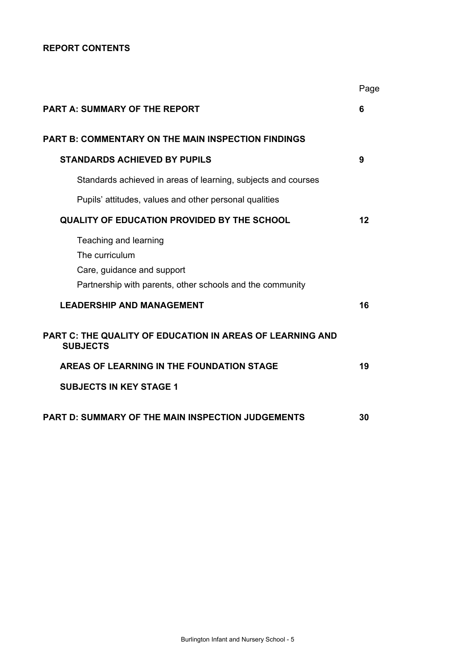### **REPORT CONTENTS**

|                                                                                                                                    | Page |
|------------------------------------------------------------------------------------------------------------------------------------|------|
| <b>PART A: SUMMARY OF THE REPORT</b>                                                                                               | 6    |
| <b>PART B: COMMENTARY ON THE MAIN INSPECTION FINDINGS</b>                                                                          |      |
| <b>STANDARDS ACHIEVED BY PUPILS</b>                                                                                                | 9    |
| Standards achieved in areas of learning, subjects and courses                                                                      |      |
| Pupils' attitudes, values and other personal qualities                                                                             |      |
| QUALITY OF EDUCATION PROVIDED BY THE SCHOOL                                                                                        | 12   |
| Teaching and learning<br>The curriculum<br>Care, guidance and support<br>Partnership with parents, other schools and the community |      |
| <b>LEADERSHIP AND MANAGEMENT</b>                                                                                                   | 16   |
| PART C: THE QUALITY OF EDUCATION IN AREAS OF LEARNING AND<br><b>SUBJECTS</b>                                                       |      |
| AREAS OF LEARNING IN THE FOUNDATION STAGE                                                                                          | 19   |
| <b>SUBJECTS IN KEY STAGE 1</b>                                                                                                     |      |
| <b>PART D: SUMMARY OF THE MAIN INSPECTION JUDGEMENTS</b>                                                                           | 30   |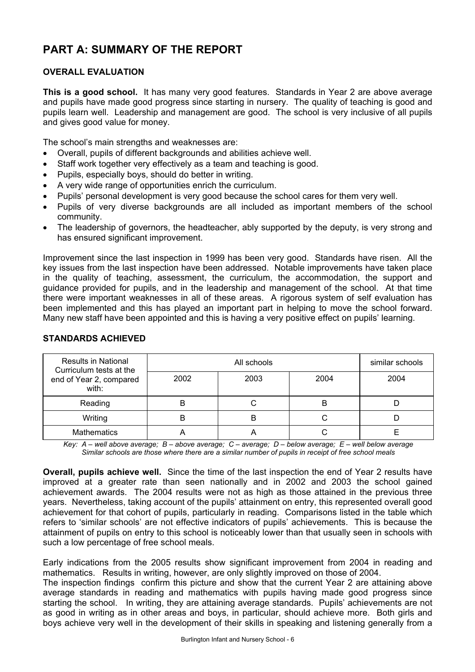# **PART A: SUMMARY OF THE REPORT**

# **OVERALL EVALUATION**

**This is a good school.** It has many very good features. Standards in Year 2 are above average and pupils have made good progress since starting in nursery. The quality of teaching is good and pupils learn well. Leadership and management are good. The school is very inclusive of all pupils and gives good value for money.

The school's main strengths and weaknesses are:

- Overall, pupils of different backgrounds and abilities achieve well.
- Staff work together very effectively as a team and teaching is good.
- Pupils, especially boys, should do better in writing.
- A very wide range of opportunities enrich the curriculum.
- Pupils' personal development is very good because the school cares for them very well.
- Pupils of very diverse backgrounds are all included as important members of the school community.
- The leadership of governors, the headteacher, ably supported by the deputy, is very strong and has ensured significant improvement.

Improvement since the last inspection in 1999 has been very good. Standards have risen. All the key issues from the last inspection have been addressed. Notable improvements have taken place in the quality of teaching, assessment, the curriculum, the accommodation, the support and guidance provided for pupils, and in the leadership and management of the school. At that time there were important weaknesses in all of these areas. A rigorous system of self evaluation has been implemented and this has played an important part in helping to move the school forward. Many new staff have been appointed and this is having a very positive effect on pupils' learning.

| <b>Results in National</b><br>Curriculum tests at the |      | similar schools |      |      |
|-------------------------------------------------------|------|-----------------|------|------|
| end of Year 2, compared<br>with:                      | 2002 | 2003            | 2004 | 2004 |
| Reading                                               |      |                 | В    |      |
| Writing                                               |      | D               | ٮ    |      |
| <b>Mathematics</b>                                    |      |                 |      |      |

### **STANDARDS ACHIEVED**

*Key: A – well above average; B – above average; C – average; D – below average; E – well below average Similar schools are those where there are a similar number of pupils in receipt of free school meals* 

**Overall, pupils achieve well.** Since the time of the last inspection the end of Year 2 results have improved at a greater rate than seen nationally and in 2002 and 2003 the school gained achievement awards. The 2004 results were not as high as those attained in the previous three years. Nevertheless, taking account of the pupils' attainment on entry, this represented overall good achievement for that cohort of pupils, particularly in reading. Comparisons listed in the table which refers to 'similar schools' are not effective indicators of pupils' achievements. This is because the attainment of pupils on entry to this school is noticeably lower than that usually seen in schools with such a low percentage of free school meals.

Early indications from the 2005 results show significant improvement from 2004 in reading and mathematics. Results in writing, however, are only slightly improved on those of 2004.

The inspection findings confirm this picture and show that the current Year 2 are attaining above average standards in reading and mathematics with pupils having made good progress since starting the school. In writing, they are attaining average standards. Pupils' achievements are not as good in writing as in other areas and boys, in particular, should achieve more. Both girls and boys achieve very well in the development of their skills in speaking and listening generally from a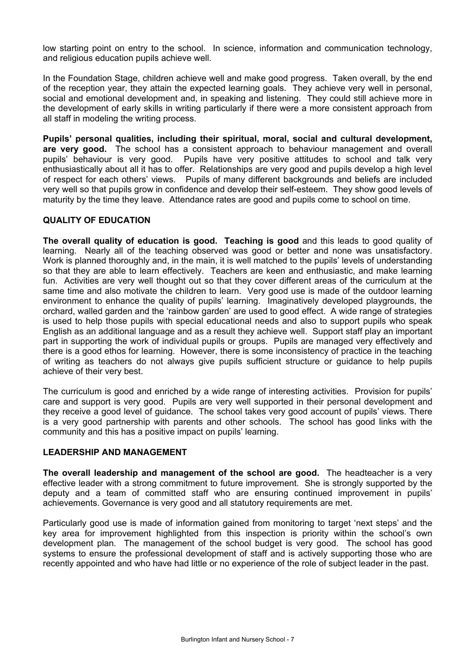low starting point on entry to the school. In science, information and communication technology, and religious education pupils achieve well.

In the Foundation Stage, children achieve well and make good progress. Taken overall, by the end of the reception year, they attain the expected learning goals. They achieve very well in personal, social and emotional development and, in speaking and listening. They could still achieve more in the development of early skills in writing particularly if there were a more consistent approach from all staff in modeling the writing process.

**Pupils' personal qualities, including their spiritual, moral, social and cultural development, are very good.** The school has a consistent approach to behaviour management and overall pupils' behaviour is very good. Pupils have very positive attitudes to school and talk very enthusiastically about all it has to offer. Relationships are very good and pupils develop a high level of respect for each others' views. Pupils of many different backgrounds and beliefs are included very well so that pupils grow in confidence and develop their self-esteem. They show good levels of maturity by the time they leave. Attendance rates are good and pupils come to school on time.

### **QUALITY OF EDUCATION**

**The overall quality of education is good. Teaching is good** and this leads to good quality of learning. Nearly all of the teaching observed was good or better and none was unsatisfactory. Work is planned thoroughly and, in the main, it is well matched to the pupils' levels of understanding so that they are able to learn effectively. Teachers are keen and enthusiastic, and make learning fun. Activities are very well thought out so that they cover different areas of the curriculum at the same time and also motivate the children to learn. Very good use is made of the outdoor learning environment to enhance the quality of pupils' learning. Imaginatively developed playgrounds, the orchard, walled garden and the 'rainbow garden' are used to good effect. A wide range of strategies is used to help those pupils with special educational needs and also to support pupils who speak English as an additional language and as a result they achieve well. Support staff play an important part in supporting the work of individual pupils or groups. Pupils are managed very effectively and there is a good ethos for learning. However, there is some inconsistency of practice in the teaching of writing as teachers do not always give pupils sufficient structure or guidance to help pupils achieve of their very best.

The curriculum is good and enriched by a wide range of interesting activities. Provision for pupils' care and support is very good. Pupils are very well supported in their personal development and they receive a good level of guidance. The school takes very good account of pupils' views. There is a very good partnership with parents and other schools. The school has good links with the community and this has a positive impact on pupils' learning.

### **LEADERSHIP AND MANAGEMENT**

**The overall leadership and management of the school are good.** The headteacher is a very effective leader with a strong commitment to future improvement. She is strongly supported by the deputy and a team of committed staff who are ensuring continued improvement in pupils' achievements. Governance is very good and all statutory requirements are met.

Particularly good use is made of information gained from monitoring to target 'next steps' and the key area for improvement highlighted from this inspection is priority within the school's own development plan. The management of the school budget is very good. The school has good systems to ensure the professional development of staff and is actively supporting those who are recently appointed and who have had little or no experience of the role of subject leader in the past.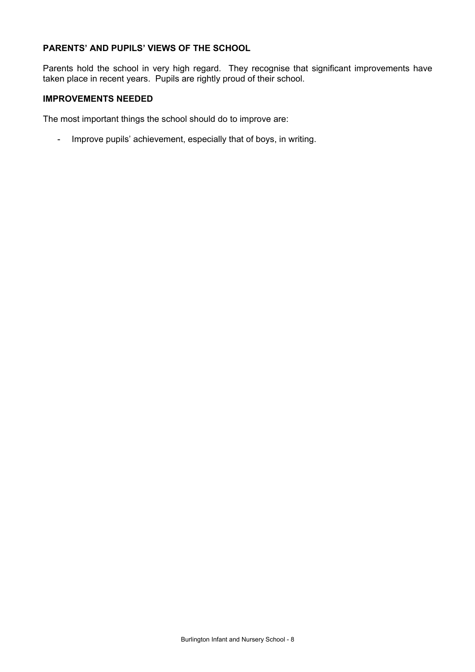# **PARENTS' AND PUPILS' VIEWS OF THE SCHOOL**

Parents hold the school in very high regard. They recognise that significant improvements have taken place in recent years. Pupils are rightly proud of their school.

### **IMPROVEMENTS NEEDED**

The most important things the school should do to improve are:

- Improve pupils' achievement, especially that of boys, in writing.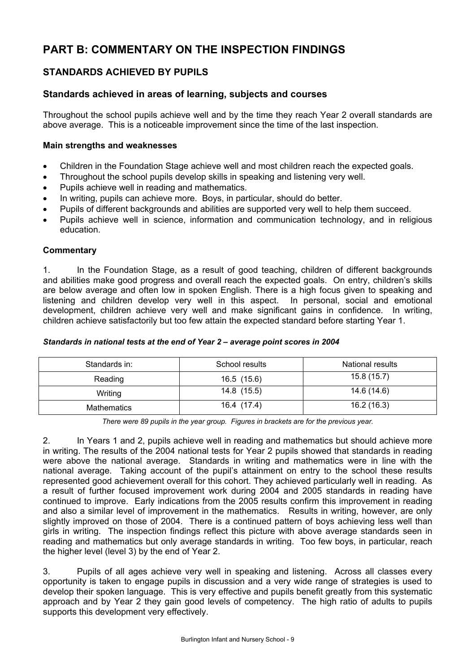# **PART B: COMMENTARY ON THE INSPECTION FINDINGS**

# **STANDARDS ACHIEVED BY PUPILS**

# **Standards achieved in areas of learning, subjects and courses**

Throughout the school pupils achieve well and by the time they reach Year 2 overall standards are above average. This is a noticeable improvement since the time of the last inspection.

### **Main strengths and weaknesses**

- Children in the Foundation Stage achieve well and most children reach the expected goals.
- Throughout the school pupils develop skills in speaking and listening very well.
- Pupils achieve well in reading and mathematics.
- In writing, pupils can achieve more. Boys, in particular, should do better.
- Pupils of different backgrounds and abilities are supported very well to help them succeed.
- Pupils achieve well in science, information and communication technology, and in religious education.

### **Commentary**

1. In the Foundation Stage, as a result of good teaching, children of different backgrounds and abilities make good progress and overall reach the expected goals. On entry, children's skills are below average and often low in spoken English. There is a high focus given to speaking and listening and children develop very well in this aspect. In personal, social and emotional development, children achieve very well and make significant gains in confidence. In writing, children achieve satisfactorily but too few attain the expected standard before starting Year 1.

| Standards in: | School results | National results |
|---------------|----------------|------------------|
| Reading       | 16.5 (15.6)    | 15.8(15.7)       |
| Writing       | 14.8 (15.5)    | 14.6 (14.6)      |
| Mathematics   | 16.4 (17.4)    | 16.2(16.3)       |

### *Standards in national tests at the end of Year 2 – average point scores in 2004*

*There were 89 pupils in the year group. Figures in brackets are for the previous year.* 

2. In Years 1 and 2, pupils achieve well in reading and mathematics but should achieve more in writing. The results of the 2004 national tests for Year 2 pupils showed that standards in reading were above the national average. Standards in writing and mathematics were in line with the national average. Taking account of the pupil's attainment on entry to the school these results represented good achievement overall for this cohort. They achieved particularly well in reading. As a result of further focused improvement work during 2004 and 2005 standards in reading have continued to improve. Early indications from the 2005 results confirm this improvement in reading and also a similar level of improvement in the mathematics. Results in writing, however, are only slightly improved on those of 2004. There is a continued pattern of boys achieving less well than girls in writing. The inspection findings reflect this picture with above average standards seen in reading and mathematics but only average standards in writing. Too few boys, in particular, reach the higher level (level 3) by the end of Year 2.

3. Pupils of all ages achieve very well in speaking and listening. Across all classes every opportunity is taken to engage pupils in discussion and a very wide range of strategies is used to develop their spoken language. This is very effective and pupils benefit greatly from this systematic approach and by Year 2 they gain good levels of competency. The high ratio of adults to pupils supports this development very effectively.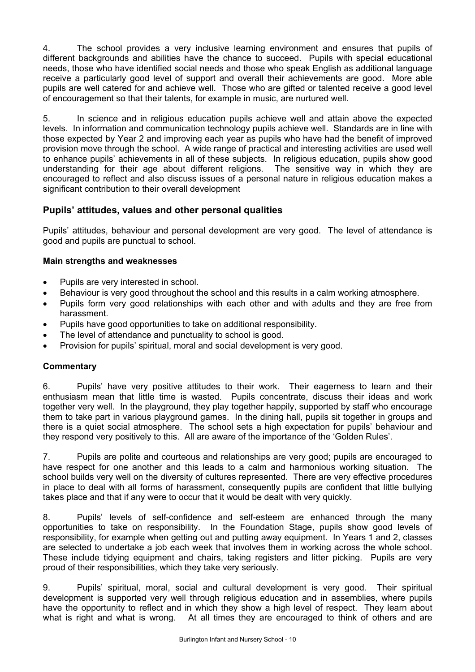4. The school provides a very inclusive learning environment and ensures that pupils of different backgrounds and abilities have the chance to succeed. Pupils with special educational needs, those who have identified social needs and those who speak English as additional language receive a particularly good level of support and overall their achievements are good. More able pupils are well catered for and achieve well. Those who are gifted or talented receive a good level of encouragement so that their talents, for example in music, are nurtured well.

5. In science and in religious education pupils achieve well and attain above the expected levels. In information and communication technology pupils achieve well. Standards are in line with those expected by Year 2 and improving each year as pupils who have had the benefit of improved provision move through the school. A wide range of practical and interesting activities are used well to enhance pupils' achievements in all of these subjects. In religious education, pupils show good understanding for their age about different religions. The sensitive way in which they are encouraged to reflect and also discuss issues of a personal nature in religious education makes a significant contribution to their overall development

# **Pupils' attitudes, values and other personal qualities**

Pupils' attitudes, behaviour and personal development are very good. The level of attendance is good and pupils are punctual to school.

### **Main strengths and weaknesses**

- Pupils are very interested in school.
- Behaviour is very good throughout the school and this results in a calm working atmosphere.
- Pupils form very good relationships with each other and with adults and they are free from harassment.
- Pupils have good opportunities to take on additional responsibility.
- The level of attendance and punctuality to school is good.
- Provision for pupils' spiritual, moral and social development is very good.

### **Commentary**

6. Pupils' have very positive attitudes to their work. Their eagerness to learn and their enthusiasm mean that little time is wasted. Pupils concentrate, discuss their ideas and work together very well. In the playground, they play together happily, supported by staff who encourage them to take part in various playground games. In the dining hall, pupils sit together in groups and there is a quiet social atmosphere. The school sets a high expectation for pupils' behaviour and they respond very positively to this. All are aware of the importance of the 'Golden Rules'.

7. Pupils are polite and courteous and relationships are very good; pupils are encouraged to have respect for one another and this leads to a calm and harmonious working situation. The school builds very well on the diversity of cultures represented. There are very effective procedures in place to deal with all forms of harassment, consequently pupils are confident that little bullying takes place and that if any were to occur that it would be dealt with very quickly.

8. Pupils' levels of self-confidence and self-esteem are enhanced through the many opportunities to take on responsibility. In the Foundation Stage, pupils show good levels of responsibility, for example when getting out and putting away equipment. In Years 1 and 2, classes are selected to undertake a job each week that involves them in working across the whole school. These include tidying equipment and chairs, taking registers and litter picking. Pupils are very proud of their responsibilities, which they take very seriously.

9. Pupils' spiritual, moral, social and cultural development is very good. Their spiritual development is supported very well through religious education and in assemblies, where pupils have the opportunity to reflect and in which they show a high level of respect. They learn about what is right and what is wrong. At all times they are encouraged to think of others and are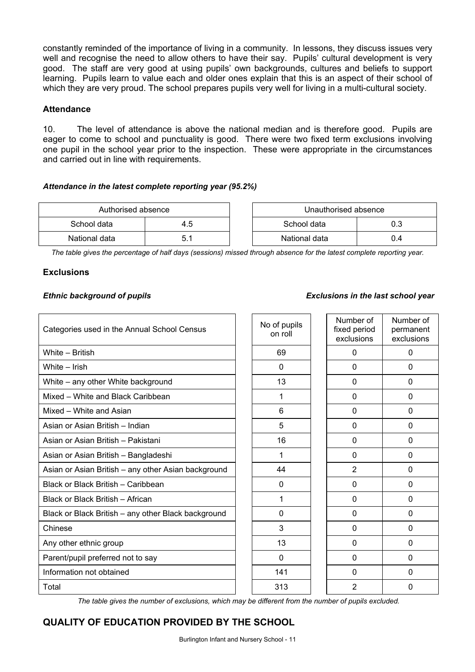constantly reminded of the importance of living in a community. In lessons, they discuss issues very well and recognise the need to allow others to have their say. Pupils' cultural development is very good. The staff are very good at using pupils' own backgrounds, cultures and beliefs to support learning. Pupils learn to value each and older ones explain that this is an aspect of their school of which they are very proud. The school prepares pupils very well for living in a multi-cultural society.

### **Attendance**

10. The level of attendance is above the national median and is therefore good. Pupils are eager to come to school and punctuality is good. There were two fixed term exclusions involving one pupil in the school year prior to the inspection. These were appropriate in the circumstances and carried out in line with requirements.

### *Attendance in the latest complete reporting year (95.2%)*

| Authorised absence |     | Unauthorised absence |     |
|--------------------|-----|----------------------|-----|
| School data        | 4.5 | School data<br>0.3   |     |
| National data      |     | National data        | J.4 |

*The table gives the percentage of half days (sessions) missed through absence for the latest complete reporting year.*

### **Exclusions**

### *Ethnic background of pupils Exclusions in the last school year*

| Categories used in the Annual School Census         | No of pupils<br>on roll | Number of<br>fixed period<br>exclusions | Number of<br>permanent<br>exclusions |
|-----------------------------------------------------|-------------------------|-----------------------------------------|--------------------------------------|
| White - British                                     | 69                      | $\mathbf 0$                             | 0                                    |
| White - Irish                                       | 0                       | $\mathbf 0$                             | $\Omega$                             |
| White - any other White background                  | 13                      | 0                                       | 0                                    |
| Mixed – White and Black Caribbean                   |                         | $\Omega$                                | $\Omega$                             |
| Mixed - White and Asian                             | 6                       | $\Omega$                                | 0                                    |
| Asian or Asian British - Indian                     | 5                       | $\mathbf 0$                             | 0                                    |
| Asian or Asian British - Pakistani                  | 16                      | $\Omega$                                | $\Omega$                             |
| Asian or Asian British - Bangladeshi                |                         | $\Omega$                                | $\Omega$                             |
| Asian or Asian British - any other Asian background | 44                      | $\overline{2}$                          | 0                                    |
| Black or Black British - Caribbean                  | 0                       | $\mathbf 0$                             | 0                                    |
| Black or Black British - African                    | 1                       | $\Omega$                                | $\Omega$                             |
| Black or Black British - any other Black background | 0                       | $\Omega$                                | $\Omega$                             |
| Chinese                                             | 3                       | $\Omega$                                | $\Omega$                             |
| Any other ethnic group                              | 13                      | $\mathbf 0$                             | 0                                    |
| Parent/pupil preferred not to say                   | 0                       | 0                                       | 0                                    |
| Information not obtained                            | 141                     | $\Omega$                                | $\Omega$                             |
| Total                                               | 313                     | $\overline{2}$                          | 0                                    |

*The table gives the number of exclusions, which may be different from the number of pupils excluded.*

# **QUALITY OF EDUCATION PROVIDED BY THE SCHOOL**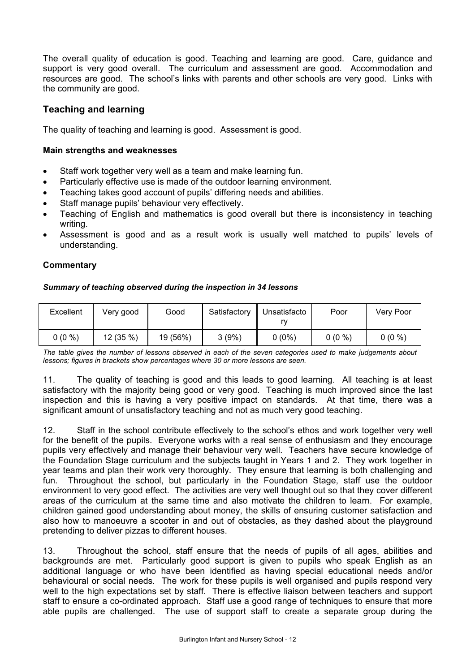The overall quality of education is good. Teaching and learning are good. Care, guidance and support is very good overall. The curriculum and assessment are good. Accommodation and resources are good. The school's links with parents and other schools are very good. Links with the community are good.

# **Teaching and learning**

The quality of teaching and learning is good. Assessment is good.

### **Main strengths and weaknesses**

- Staff work together very well as a team and make learning fun.
- Particularly effective use is made of the outdoor learning environment.
- Teaching takes good account of pupils' differing needs and abilities.
- Staff manage pupils' behaviour very effectively.
- Teaching of English and mathematics is good overall but there is inconsistency in teaching writing.
- Assessment is good and as a result work is usually well matched to pupils' levels of understanding.

### **Commentary**

### *Summary of teaching observed during the inspection in 34 lessons*

| Excellent | Very good  | Good     | Satisfactory | Unsatisfacto | Poor     | Very Poor |
|-----------|------------|----------|--------------|--------------|----------|-----------|
| $0(0\%)$  | $12(35\%)$ | 19 (56%) | 3(9%)        | $0(0\%)$     | $0(0\%)$ | $0(0\%)$  |

*The table gives the number of lessons observed in each of the seven categories used to make judgements about lessons; figures in brackets show percentages where 30 or more lessons are seen.* 

11. The quality of teaching is good and this leads to good learning. All teaching is at least satisfactory with the majority being good or very good. Teaching is much improved since the last inspection and this is having a very positive impact on standards. At that time, there was a significant amount of unsatisfactory teaching and not as much very good teaching.

12. Staff in the school contribute effectively to the school's ethos and work together very well for the benefit of the pupils. Everyone works with a real sense of enthusiasm and they encourage pupils very effectively and manage their behaviour very well. Teachers have secure knowledge of the Foundation Stage curriculum and the subjects taught in Years 1 and 2. They work together in year teams and plan their work very thoroughly. They ensure that learning is both challenging and fun. Throughout the school, but particularly in the Foundation Stage, staff use the outdoor environment to very good effect. The activities are very well thought out so that they cover different areas of the curriculum at the same time and also motivate the children to learn. For example, children gained good understanding about money, the skills of ensuring customer satisfaction and also how to manoeuvre a scooter in and out of obstacles, as they dashed about the playground pretending to deliver pizzas to different houses.

13. Throughout the school, staff ensure that the needs of pupils of all ages, abilities and backgrounds are met. Particularly good support is given to pupils who speak English as an additional language or who have been identified as having special educational needs and/or behavioural or social needs. The work for these pupils is well organised and pupils respond very well to the high expectations set by staff. There is effective liaison between teachers and support staff to ensure a co-ordinated approach. Staff use a good range of techniques to ensure that more able pupils are challenged. The use of support staff to create a separate group during the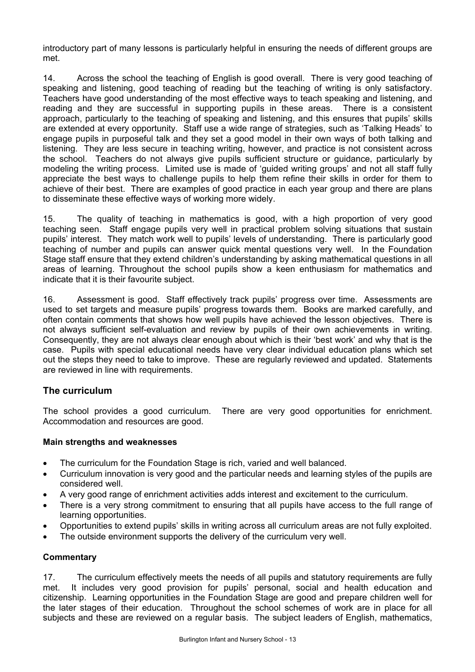introductory part of many lessons is particularly helpful in ensuring the needs of different groups are met.

14. Across the school the teaching of English is good overall. There is very good teaching of speaking and listening, good teaching of reading but the teaching of writing is only satisfactory. Teachers have good understanding of the most effective ways to teach speaking and listening, and reading and they are successful in supporting pupils in these areas. There is a consistent approach, particularly to the teaching of speaking and listening, and this ensures that pupils' skills are extended at every opportunity. Staff use a wide range of strategies, such as 'Talking Heads' to engage pupils in purposeful talk and they set a good model in their own ways of both talking and listening. They are less secure in teaching writing, however, and practice is not consistent across the school. Teachers do not always give pupils sufficient structure or guidance, particularly by modeling the writing process. Limited use is made of 'guided writing groups' and not all staff fully appreciate the best ways to challenge pupils to help them refine their skills in order for them to achieve of their best. There are examples of good practice in each year group and there are plans to disseminate these effective ways of working more widely.

15. The quality of teaching in mathematics is good, with a high proportion of very good teaching seen. Staff engage pupils very well in practical problem solving situations that sustain pupils' interest. They match work well to pupils' levels of understanding. There is particularly good teaching of number and pupils can answer quick mental questions very well. In the Foundation Stage staff ensure that they extend children's understanding by asking mathematical questions in all areas of learning. Throughout the school pupils show a keen enthusiasm for mathematics and indicate that it is their favourite subject.

16. Assessment is good. Staff effectively track pupils' progress over time. Assessments are used to set targets and measure pupils' progress towards them. Books are marked carefully, and often contain comments that shows how well pupils have achieved the lesson objectives. There is not always sufficient self-evaluation and review by pupils of their own achievements in writing. Consequently, they are not always clear enough about which is their 'best work' and why that is the case. Pupils with special educational needs have very clear individual education plans which set out the steps they need to take to improve. These are regularly reviewed and updated. Statements are reviewed in line with requirements.

# **The curriculum**

The school provides a good curriculum. There are very good opportunities for enrichment. Accommodation and resources are good.

### **Main strengths and weaknesses**

- The curriculum for the Foundation Stage is rich, varied and well balanced.
- Curriculum innovation is very good and the particular needs and learning styles of the pupils are considered well.
- A very good range of enrichment activities adds interest and excitement to the curriculum.
- There is a very strong commitment to ensuring that all pupils have access to the full range of learning opportunities.
- Opportunities to extend pupils' skills in writing across all curriculum areas are not fully exploited.
- The outside environment supports the delivery of the curriculum very well.

### **Commentary**

17. The curriculum effectively meets the needs of all pupils and statutory requirements are fully met. It includes very good provision for pupils' personal, social and health education and citizenship. Learning opportunities in the Foundation Stage are good and prepare children well for the later stages of their education. Throughout the school schemes of work are in place for all subjects and these are reviewed on a regular basis. The subject leaders of English, mathematics,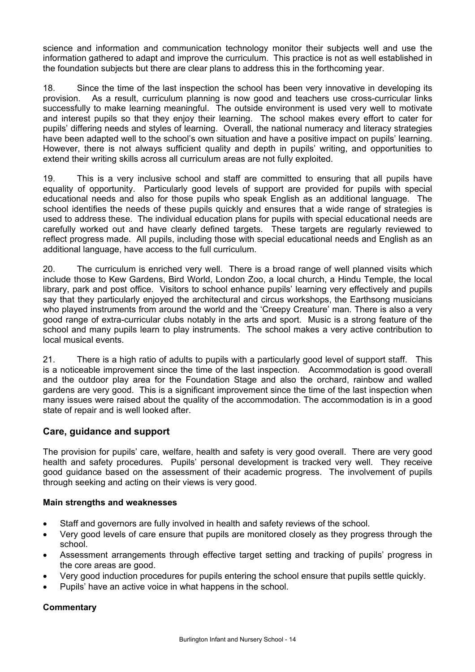science and information and communication technology monitor their subjects well and use the information gathered to adapt and improve the curriculum. This practice is not as well established in the foundation subjects but there are clear plans to address this in the forthcoming year.

18. Since the time of the last inspection the school has been very innovative in developing its provision. As a result, curriculum planning is now good and teachers use cross-curricular links successfully to make learning meaningful. The outside environment is used very well to motivate and interest pupils so that they enjoy their learning. The school makes every effort to cater for pupils' differing needs and styles of learning. Overall, the national numeracy and literacy strategies have been adapted well to the school's own situation and have a positive impact on pupils' learning. However, there is not always sufficient quality and depth in pupils' writing, and opportunities to extend their writing skills across all curriculum areas are not fully exploited.

19. This is a very inclusive school and staff are committed to ensuring that all pupils have equality of opportunity. Particularly good levels of support are provided for pupils with special educational needs and also for those pupils who speak English as an additional language. The school identifies the needs of these pupils quickly and ensures that a wide range of strategies is used to address these. The individual education plans for pupils with special educational needs are carefully worked out and have clearly defined targets. These targets are regularly reviewed to reflect progress made. All pupils, including those with special educational needs and English as an additional language, have access to the full curriculum.

20. The curriculum is enriched very well. There is a broad range of well planned visits which include those to Kew Gardens, Bird World, London Zoo, a local church, a Hindu Temple, the local library, park and post office. Visitors to school enhance pupils' learning very effectively and pupils say that they particularly enjoyed the architectural and circus workshops, the Earthsong musicians who played instruments from around the world and the 'Creepy Creature' man. There is also a very good range of extra-curricular clubs notably in the arts and sport. Music is a strong feature of the school and many pupils learn to play instruments. The school makes a very active contribution to local musical events.

21. There is a high ratio of adults to pupils with a particularly good level of support staff. This is a noticeable improvement since the time of the last inspection. Accommodation is good overall and the outdoor play area for the Foundation Stage and also the orchard, rainbow and walled gardens are very good. This is a significant improvement since the time of the last inspection when many issues were raised about the quality of the accommodation. The accommodation is in a good state of repair and is well looked after.

# **Care, guidance and support**

The provision for pupils' care, welfare, health and safety is very good overall. There are very good health and safety procedures. Pupils' personal development is tracked very well. They receive good guidance based on the assessment of their academic progress. The involvement of pupils through seeking and acting on their views is very good.

### **Main strengths and weaknesses**

- Staff and governors are fully involved in health and safety reviews of the school.
- Very good levels of care ensure that pupils are monitored closely as they progress through the school.
- Assessment arrangements through effective target setting and tracking of pupils' progress in the core areas are good.
- Very good induction procedures for pupils entering the school ensure that pupils settle quickly.
- Pupils' have an active voice in what happens in the school.

# **Commentary**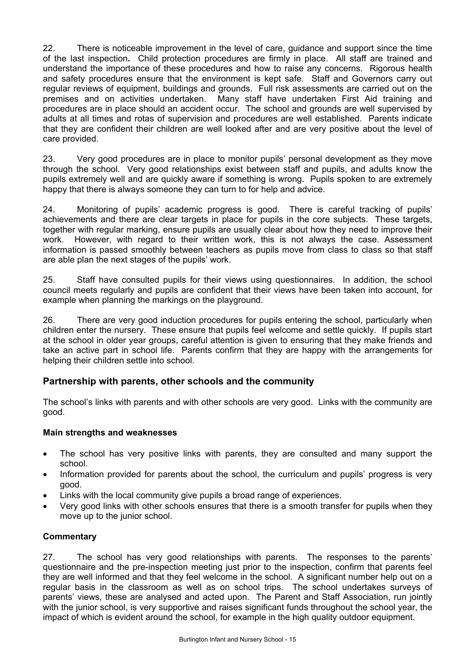22. There is noticeable improvement in the level of care, guidance and support since the time of the last inspection**.** Child protection procedures are firmly in place. All staff are trained and understand the importance of these procedures and how to raise any concerns. Rigorous health and safety procedures ensure that the environment is kept safe. Staff and Governors carry out regular reviews of equipment, buildings and grounds. Full risk assessments are carried out on the premises and on activities undertaken. Many staff have undertaken First Aid training and procedures are in place should an accident occur. The school and grounds are well supervised by adults at all times and rotas of supervision and procedures are well established. Parents indicate that they are confident their children are well looked after and are very positive about the level of care provided.

23. Very good procedures are in place to monitor pupils' personal development as they move through the school. Very good relationships exist between staff and pupils, and adults know the pupils extremely well and are quickly aware if something is wrong. Pupils spoken to are extremely happy that there is always someone they can turn to for help and advice.

24. Monitoring of pupils' academic progress is good. There is careful tracking of pupils' achievements and there are clear targets in place for pupils in the core subjects. These targets, together with regular marking, ensure pupils are usually clear about how they need to improve their work. However, with regard to their written work, this is not always the case. Assessment information is passed smoothly between teachers as pupils move from class to class so that staff are able plan the next stages of the pupils' work.

25. Staff have consulted pupils for their views using questionnaires. In addition, the school council meets regularly and pupils are confident that their views have been taken into account, for example when planning the markings on the playground.

26. There are very good induction procedures for pupils entering the school, particularly when children enter the nursery. These ensure that pupils feel welcome and settle quickly. If pupils start at the school in older year groups, careful attention is given to ensuring that they make friends and take an active part in school life. Parents confirm that they are happy with the arrangements for helping their children settle into school.

# **Partnership with parents, other schools and the community**

The school's links with parents and with other schools are very good. Links with the community are good.

### **Main strengths and weaknesses**

- The school has very positive links with parents, they are consulted and many support the school.
- Information provided for parents about the school, the curriculum and pupils' progress is very good.
- Links with the local community give pupils a broad range of experiences.
- Very good links with other schools ensures that there is a smooth transfer for pupils when they move up to the junior school.

### **Commentary**

27. The school has very good relationships with parents. The responses to the parents' questionnaire and the pre-inspection meeting just prior to the inspection, confirm that parents feel they are well informed and that they feel welcome in the school. A significant number help out on a regular basis in the classroom as well as on school trips. The school undertakes surveys of parents' views, these are analysed and acted upon. The Parent and Staff Association, run jointly with the junior school, is very supportive and raises significant funds throughout the school year, the impact of which is evident around the school, for example in the high quality outdoor equipment.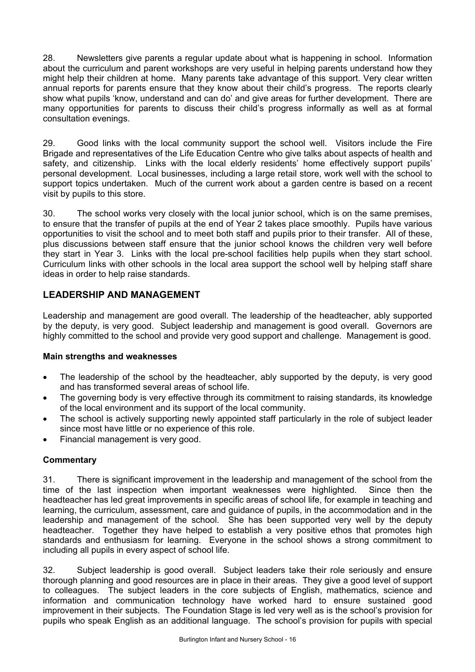28. Newsletters give parents a regular update about what is happening in school. Information about the curriculum and parent workshops are very useful in helping parents understand how they might help their children at home. Many parents take advantage of this support. Very clear written annual reports for parents ensure that they know about their child's progress. The reports clearly show what pupils 'know, understand and can do' and give areas for further development. There are many opportunities for parents to discuss their child's progress informally as well as at formal consultation evenings.

29. Good links with the local community support the school well. Visitors include the Fire Brigade and representatives of the Life Education Centre who give talks about aspects of health and safety, and citizenship. Links with the local elderly residents' home effectively support pupils' personal development. Local businesses, including a large retail store, work well with the school to support topics undertaken. Much of the current work about a garden centre is based on a recent visit by pupils to this store.

30. The school works very closely with the local junior school, which is on the same premises, to ensure that the transfer of pupils at the end of Year 2 takes place smoothly. Pupils have various opportunities to visit the school and to meet both staff and pupils prior to their transfer. All of these, plus discussions between staff ensure that the junior school knows the children very well before they start in Year 3. Links with the local pre-school facilities help pupils when they start school. Curriculum links with other schools in the local area support the school well by helping staff share ideas in order to help raise standards.

# **LEADERSHIP AND MANAGEMENT**

Leadership and management are good overall. The leadership of the headteacher, ably supported by the deputy, is very good. Subject leadership and management is good overall. Governors are highly committed to the school and provide very good support and challenge. Management is good.

### **Main strengths and weaknesses**

- The leadership of the school by the headteacher, ably supported by the deputy, is very good and has transformed several areas of school life.
- The governing body is very effective through its commitment to raising standards, its knowledge of the local environment and its support of the local community.
- The school is actively supporting newly appointed staff particularly in the role of subject leader since most have little or no experience of this role.
- Financial management is very good.

# **Commentary**

31. There is significant improvement in the leadership and management of the school from the time of the last inspection when important weaknesses were highlighted. Since then the headteacher has led great improvements in specific areas of school life, for example in teaching and learning, the curriculum, assessment, care and guidance of pupils, in the accommodation and in the leadership and management of the school. She has been supported very well by the deputy headteacher. Together they have helped to establish a very positive ethos that promotes high standards and enthusiasm for learning. Everyone in the school shows a strong commitment to including all pupils in every aspect of school life.

32. Subject leadership is good overall. Subject leaders take their role seriously and ensure thorough planning and good resources are in place in their areas. They give a good level of support to colleagues. The subject leaders in the core subjects of English, mathematics, science and information and communication technology have worked hard to ensure sustained good improvement in their subjects. The Foundation Stage is led very well as is the school's provision for pupils who speak English as an additional language. The school's provision for pupils with special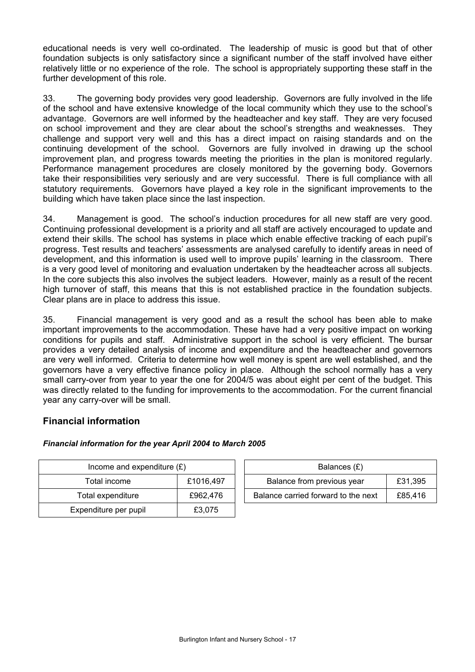educational needs is very well co-ordinated. The leadership of music is good but that of other foundation subjects is only satisfactory since a significant number of the staff involved have either relatively little or no experience of the role. The school is appropriately supporting these staff in the further development of this role.

33. The governing body provides very good leadership. Governors are fully involved in the life of the school and have extensive knowledge of the local community which they use to the school's advantage. Governors are well informed by the headteacher and key staff. They are very focused on school improvement and they are clear about the school's strengths and weaknesses. They challenge and support very well and this has a direct impact on raising standards and on the continuing development of the school. Governors are fully involved in drawing up the school improvement plan, and progress towards meeting the priorities in the plan is monitored regularly. Performance management procedures are closely monitored by the governing body. Governors take their responsibilities very seriously and are very successful. There is full compliance with all statutory requirements. Governors have played a key role in the significant improvements to the building which have taken place since the last inspection.

34. Management is good. The school's induction procedures for all new staff are very good. Continuing professional development is a priority and all staff are actively encouraged to update and extend their skills. The school has systems in place which enable effective tracking of each pupil's progress. Test results and teachers' assessments are analysed carefully to identify areas in need of development, and this information is used well to improve pupils' learning in the classroom. There is a very good level of monitoring and evaluation undertaken by the headteacher across all subjects. In the core subjects this also involves the subject leaders. However, mainly as a result of the recent high turnover of staff, this means that this is not established practice in the foundation subjects. Clear plans are in place to address this issue.

35. Financial management is very good and as a result the school has been able to make important improvements to the accommodation. These have had a very positive impact on working conditions for pupils and staff. Administrative support in the school is very efficient. The bursar provides a very detailed analysis of income and expenditure and the headteacher and governors are very well informed. Criteria to determine how well money is spent are well established, and the governors have a very effective finance policy in place. Although the school normally has a very small carry-over from year to year the one for 2004/5 was about eight per cent of the budget. This was directly related to the funding for improvements to the accommodation. For the current financial year any carry-over will be small.

# **Financial information**

### *Financial information for the year April 2004 to March 2005*

| Income and expenditure $(E)$ |           | Balances (£)                        |         |
|------------------------------|-----------|-------------------------------------|---------|
| Total income                 | £1016,497 | Balance from previous year          | £31,395 |
| Total expenditure            | £962,476  | Balance carried forward to the next | £85,416 |
| Expenditure per pupil        | £3,075    |                                     |         |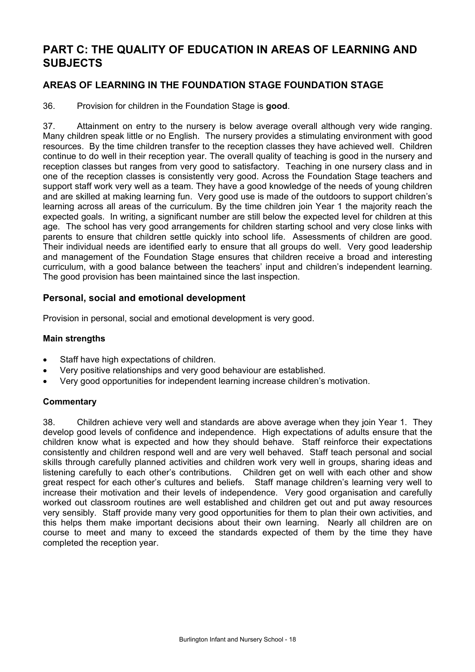# **PART C: THE QUALITY OF EDUCATION IN AREAS OF LEARNING AND SUBJECTS**

# **AREAS OF LEARNING IN THE FOUNDATION STAGE FOUNDATION STAGE**

36. Provision for children in the Foundation Stage is **good**.

37. Attainment on entry to the nursery is below average overall although very wide ranging. Many children speak little or no English. The nursery provides a stimulating environment with good resources. By the time children transfer to the reception classes they have achieved well. Children continue to do well in their reception year. The overall quality of teaching is good in the nursery and reception classes but ranges from very good to satisfactory. Teaching in one nursery class and in one of the reception classes is consistently very good. Across the Foundation Stage teachers and support staff work very well as a team. They have a good knowledge of the needs of young children and are skilled at making learning fun. Very good use is made of the outdoors to support children's learning across all areas of the curriculum. By the time children join Year 1 the majority reach the expected goals. In writing, a significant number are still below the expected level for children at this age. The school has very good arrangements for children starting school and very close links with parents to ensure that children settle quickly into school life. Assessments of children are good. Their individual needs are identified early to ensure that all groups do well. Very good leadership and management of the Foundation Stage ensures that children receive a broad and interesting curriculum, with a good balance between the teachers' input and children's independent learning. The good provision has been maintained since the last inspection.

# **Personal, social and emotional development**

Provision in personal, social and emotional development is very good.

### **Main strengths**

- Staff have high expectations of children.
- Very positive relationships and very good behaviour are established.
- Very good opportunities for independent learning increase children's motivation.

### **Commentary**

38. Children achieve very well and standards are above average when they join Year 1. They develop good levels of confidence and independence. High expectations of adults ensure that the children know what is expected and how they should behave. Staff reinforce their expectations consistently and children respond well and are very well behaved. Staff teach personal and social skills through carefully planned activities and children work very well in groups, sharing ideas and listening carefully to each other's contributions. Children get on well with each other and show great respect for each other's cultures and beliefs. Staff manage children's learning very well to increase their motivation and their levels of independence. Very good organisation and carefully worked out classroom routines are well established and children get out and put away resources very sensibly. Staff provide many very good opportunities for them to plan their own activities, and this helps them make important decisions about their own learning. Nearly all children are on course to meet and many to exceed the standards expected of them by the time they have completed the reception year.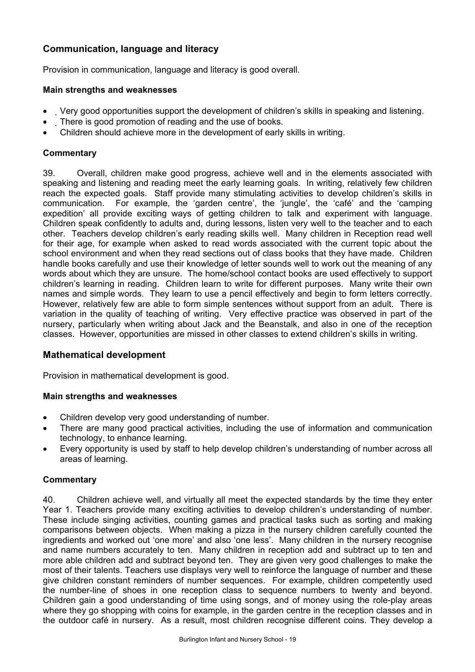# **Communication, language and literacy**

Provision in communication, language and literacy is good overall.

### **Main strengths and weaknesses**

- Very good opportunities support the development of children's skills in speaking and listening.
- There is good promotion of reading and the use of books.
- Children should achieve more in the development of early skills in writing.

### **Commentary**

39. Overall, children make good progress, achieve well and in the elements associated with speaking and listening and reading meet the early learning goals. In writing, relatively few children reach the expected goals. Staff provide many stimulating activities to develop children's skills in communication. For example, the 'garden centre', the 'jungle', the 'café' and the 'camping expedition' all provide exciting ways of getting children to talk and experiment with language. Children speak confidently to adults and, during lessons, listen very well to the teacher and to each other. Teachers develop children's early reading skills well. Many children in Reception read well for their age, for example when asked to read words associated with the current topic about the school environment and when they read sections out of class books that they have made. Children handle books carefully and use their knowledge of letter sounds well to work out the meaning of any words about which they are unsure. The home/school contact books are used effectively to support children's learning in reading. Children learn to write for different purposes. Many write their own names and simple words. They learn to use a pencil effectively and begin to form letters correctly. However, relatively few are able to form simple sentences without support from an adult. There is variation in the quality of teaching of writing. Very effective practice was observed in part of the nursery, particularly when writing about Jack and the Beanstalk, and also in one of the reception classes. However, opportunities are missed in other classes to extend children's skills in writing.

# **Mathematical development**

Provision in mathematical development is good.

### **Main strengths and weaknesses**

- Children develop very good understanding of number.
- There are many good practical activities, including the use of information and communication technology, to enhance learning.
- Every opportunity is used by staff to help develop children's understanding of number across all areas of learning.

### **Commentary**

40. Children achieve well, and virtually all meet the expected standards by the time they enter Year 1. Teachers provide many exciting activities to develop children's understanding of number. These include singing activities, counting games and practical tasks such as sorting and making comparisons between objects. When making a pizza in the nursery children carefully counted the ingredients and worked out 'one more' and also 'one less'. Many children in the nursery recognise and name numbers accurately to ten. Many children in reception add and subtract up to ten and more able children add and subtract beyond ten. They are given very good challenges to make the most of their talents. Teachers use displays very well to reinforce the language of number and these give children constant reminders of number sequences. For example, children competently used the number-line of shoes in one reception class to sequence numbers to twenty and beyond. Children gain a good understanding of time using songs, and of money using the role-play areas where they go shopping with coins for example, in the garden centre in the reception classes and in the outdoor café in nursery. As a result, most children recognise different coins. They develop a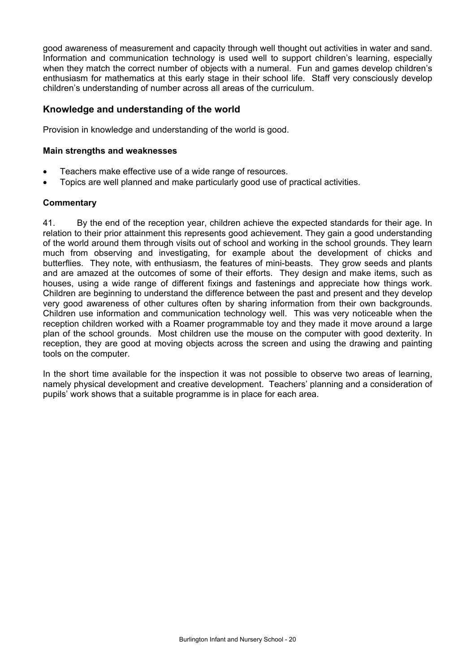good awareness of measurement and capacity through well thought out activities in water and sand. Information and communication technology is used well to support children's learning, especially when they match the correct number of objects with a numeral. Fun and games develop children's enthusiasm for mathematics at this early stage in their school life. Staff very consciously develop children's understanding of number across all areas of the curriculum.

# **Knowledge and understanding of the world**

Provision in knowledge and understanding of the world is good.

### **Main strengths and weaknesses**

- Teachers make effective use of a wide range of resources.
- Topics are well planned and make particularly good use of practical activities.

### **Commentary**

41. By the end of the reception year, children achieve the expected standards for their age. In relation to their prior attainment this represents good achievement. They gain a good understanding of the world around them through visits out of school and working in the school grounds. They learn much from observing and investigating, for example about the development of chicks and butterflies. They note, with enthusiasm, the features of mini-beasts. They grow seeds and plants and are amazed at the outcomes of some of their efforts. They design and make items, such as houses, using a wide range of different fixings and fastenings and appreciate how things work. Children are beginning to understand the difference between the past and present and they develop very good awareness of other cultures often by sharing information from their own backgrounds. Children use information and communication technology well. This was very noticeable when the reception children worked with a Roamer programmable toy and they made it move around a large plan of the school grounds. Most children use the mouse on the computer with good dexterity. In reception, they are good at moving objects across the screen and using the drawing and painting tools on the computer.

In the short time available for the inspection it was not possible to observe two areas of learning, namely physical development and creative development. Teachers' planning and a consideration of pupils' work shows that a suitable programme is in place for each area.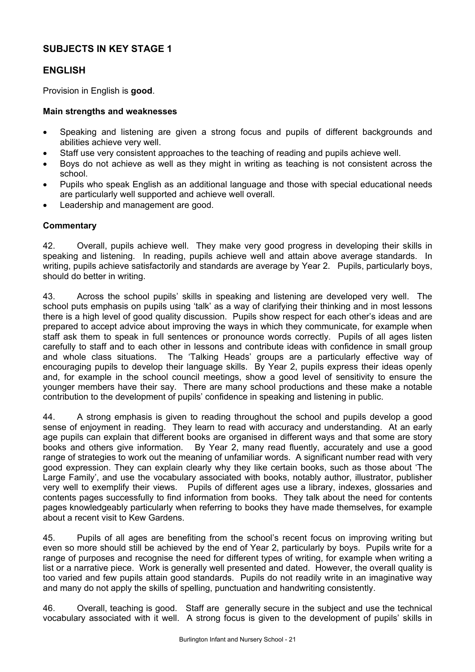# **SUBJECTS IN KEY STAGE 1**

# **ENGLISH**

Provision in English is **good**.

### **Main strengths and weaknesses**

- Speaking and listening are given a strong focus and pupils of different backgrounds and abilities achieve very well.
- Staff use very consistent approaches to the teaching of reading and pupils achieve well.
- Boys do not achieve as well as they might in writing as teaching is not consistent across the school.
- Pupils who speak English as an additional language and those with special educational needs are particularly well supported and achieve well overall.
- Leadership and management are good.

### **Commentary**

42. Overall, pupils achieve well. They make very good progress in developing their skills in speaking and listening. In reading, pupils achieve well and attain above average standards. In writing, pupils achieve satisfactorily and standards are average by Year 2. Pupils, particularly boys, should do better in writing.

43. Across the school pupils' skills in speaking and listening are developed very well. The school puts emphasis on pupils using 'talk' as a way of clarifying their thinking and in most lessons there is a high level of good quality discussion. Pupils show respect for each other's ideas and are prepared to accept advice about improving the ways in which they communicate, for example when staff ask them to speak in full sentences or pronounce words correctly. Pupils of all ages listen carefully to staff and to each other in lessons and contribute ideas with confidence in small group and whole class situations. The 'Talking Heads' groups are a particularly effective way of encouraging pupils to develop their language skills. By Year 2, pupils express their ideas openly and, for example in the school council meetings, show a good level of sensitivity to ensure the younger members have their say. There are many school productions and these make a notable contribution to the development of pupils' confidence in speaking and listening in public.

44. A strong emphasis is given to reading throughout the school and pupils develop a good sense of enjoyment in reading. They learn to read with accuracy and understanding. At an early age pupils can explain that different books are organised in different ways and that some are story books and others give information. By Year 2, many read fluently, accurately and use a good range of strategies to work out the meaning of unfamiliar words. A significant number read with very good expression. They can explain clearly why they like certain books, such as those about 'The Large Family', and use the vocabulary associated with books, notably author, illustrator, publisher very well to exemplify their views. Pupils of different ages use a library, indexes, glossaries and contents pages successfully to find information from books. They talk about the need for contents pages knowledgeably particularly when referring to books they have made themselves, for example about a recent visit to Kew Gardens.

45. Pupils of all ages are benefiting from the school's recent focus on improving writing but even so more should still be achieved by the end of Year 2, particularly by boys. Pupils write for a range of purposes and recognise the need for different types of writing, for example when writing a list or a narrative piece. Work is generally well presented and dated. However, the overall quality is too varied and few pupils attain good standards. Pupils do not readily write in an imaginative way and many do not apply the skills of spelling, punctuation and handwriting consistently.

46. Overall, teaching is good. Staff are generally secure in the subject and use the technical vocabulary associated with it well. A strong focus is given to the development of pupils' skills in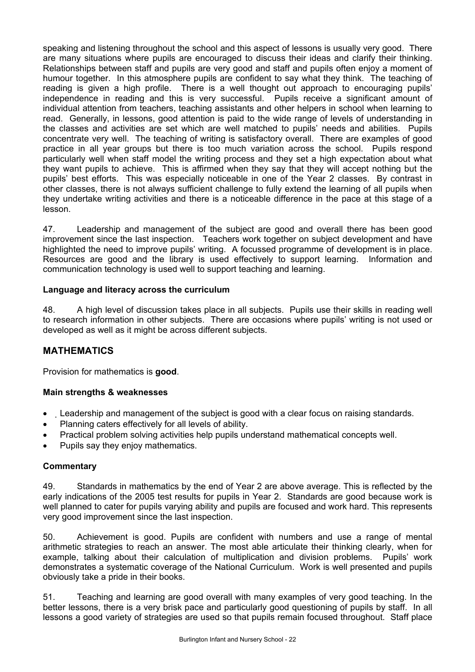speaking and listening throughout the school and this aspect of lessons is usually very good. There are many situations where pupils are encouraged to discuss their ideas and clarify their thinking. Relationships between staff and pupils are very good and staff and pupils often enjoy a moment of humour together. In this atmosphere pupils are confident to say what they think. The teaching of reading is given a high profile. There is a well thought out approach to encouraging pupils' independence in reading and this is very successful. Pupils receive a significant amount of individual attention from teachers, teaching assistants and other helpers in school when learning to read. Generally, in lessons, good attention is paid to the wide range of levels of understanding in the classes and activities are set which are well matched to pupils' needs and abilities. Pupils concentrate very well. The teaching of writing is satisfactory overall. There are examples of good practice in all year groups but there is too much variation across the school. Pupils respond particularly well when staff model the writing process and they set a high expectation about what they want pupils to achieve. This is affirmed when they say that they will accept nothing but the pupils' best efforts. This was especially noticeable in one of the Year 2 classes. By contrast in other classes, there is not always sufficient challenge to fully extend the learning of all pupils when they undertake writing activities and there is a noticeable difference in the pace at this stage of a lesson.

47. Leadership and management of the subject are good and overall there has been good improvement since the last inspection. Teachers work together on subject development and have highlighted the need to improve pupils' writing. A focussed programme of development is in place. Resources are good and the library is used effectively to support learning. Information and communication technology is used well to support teaching and learning.

### **Language and literacy across the curriculum**

48. A high level of discussion takes place in all subjects. Pupils use their skills in reading well to research information in other subjects. There are occasions where pupils' writing is not used or developed as well as it might be across different subjects.

# **MATHEMATICS**

Provision for mathematics is **good**.

### **Main strengths & weaknesses**

- Leadership and management of the subject is good with a clear focus on raising standards.
- Planning caters effectively for all levels of ability.
- Practical problem solving activities help pupils understand mathematical concepts well.
- Pupils say they enjoy mathematics.

### **Commentary**

49. Standards in mathematics by the end of Year 2 are above average. This is reflected by the early indications of the 2005 test results for pupils in Year 2. Standards are good because work is well planned to cater for pupils varying ability and pupils are focused and work hard. This represents very good improvement since the last inspection.

50. Achievement is good. Pupils are confident with numbers and use a range of mental arithmetic strategies to reach an answer. The most able articulate their thinking clearly, when for example, talking about their calculation of multiplication and division problems. Pupils' work demonstrates a systematic coverage of the National Curriculum. Work is well presented and pupils obviously take a pride in their books.

51. Teaching and learning are good overall with many examples of very good teaching. In the better lessons, there is a very brisk pace and particularly good questioning of pupils by staff. In all lessons a good variety of strategies are used so that pupils remain focused throughout. Staff place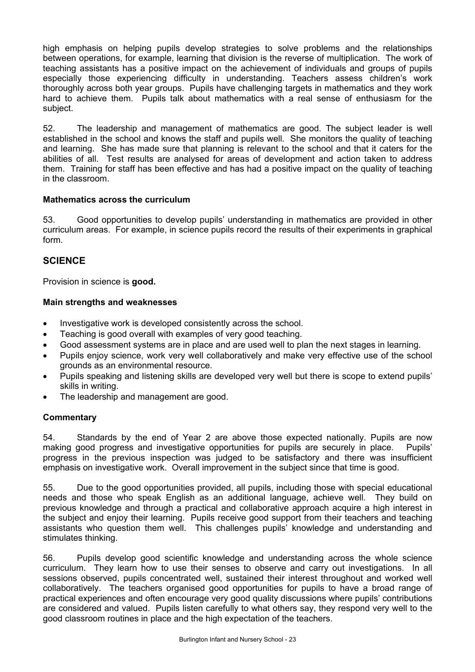high emphasis on helping pupils develop strategies to solve problems and the relationships between operations, for example, learning that division is the reverse of multiplication. The work of teaching assistants has a positive impact on the achievement of individuals and groups of pupils especially those experiencing difficulty in understanding. Teachers assess children's work thoroughly across both year groups. Pupils have challenging targets in mathematics and they work hard to achieve them. Pupils talk about mathematics with a real sense of enthusiasm for the subject.

52. The leadership and management of mathematics are good. The subject leader is well established in the school and knows the staff and pupils well. She monitors the quality of teaching and learning. She has made sure that planning is relevant to the school and that it caters for the abilities of all. Test results are analysed for areas of development and action taken to address them. Training for staff has been effective and has had a positive impact on the quality of teaching in the classroom.

### **Mathematics across the curriculum**

53. Good opportunities to develop pupils' understanding in mathematics are provided in other curriculum areas. For example, in science pupils record the results of their experiments in graphical form.

# **SCIENCE**

Provision in science is **good.** 

### **Main strengths and weaknesses**

- Investigative work is developed consistently across the school.
- Teaching is good overall with examples of very good teaching.
- Good assessment systems are in place and are used well to plan the next stages in learning.
- Pupils enjoy science, work very well collaboratively and make very effective use of the school grounds as an environmental resource.
- Pupils speaking and listening skills are developed very well but there is scope to extend pupils' skills in writing.
- The leadership and management are good.

# **Commentary**

54. Standards by the end of Year 2 are above those expected nationally. Pupils are now making good progress and investigative opportunities for pupils are securely in place. Pupils' progress in the previous inspection was judged to be satisfactory and there was insufficient emphasis on investigative work. Overall improvement in the subject since that time is good.

55. Due to the good opportunities provided, all pupils, including those with special educational needs and those who speak English as an additional language, achieve well. They build on previous knowledge and through a practical and collaborative approach acquire a high interest in the subject and enjoy their learning. Pupils receive good support from their teachers and teaching assistants who question them well. This challenges pupils' knowledge and understanding and stimulates thinking.

56. Pupils develop good scientific knowledge and understanding across the whole science curriculum. They learn how to use their senses to observe and carry out investigations. In all sessions observed, pupils concentrated well, sustained their interest throughout and worked well collaboratively. The teachers organised good opportunities for pupils to have a broad range of practical experiences and often encourage very good quality discussions where pupils' contributions are considered and valued. Pupils listen carefully to what others say, they respond very well to the good classroom routines in place and the high expectation of the teachers.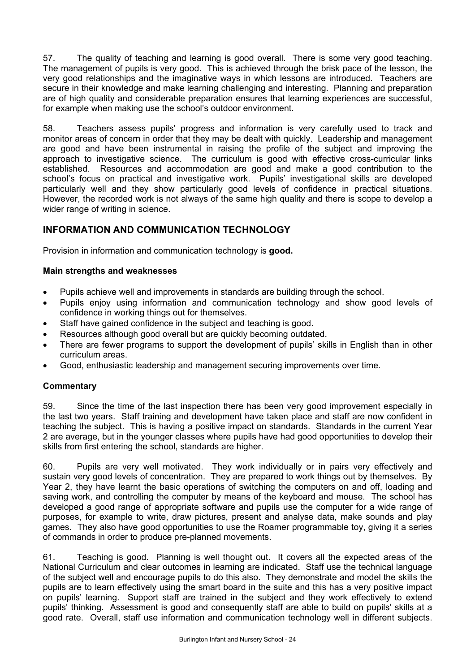57. The quality of teaching and learning is good overall. There is some very good teaching. The management of pupils is very good. This is achieved through the brisk pace of the lesson, the very good relationships and the imaginative ways in which lessons are introduced. Teachers are secure in their knowledge and make learning challenging and interesting. Planning and preparation are of high quality and considerable preparation ensures that learning experiences are successful. for example when making use the school's outdoor environment.

58. Teachers assess pupils' progress and information is very carefully used to track and monitor areas of concern in order that they may be dealt with quickly. Leadership and management are good and have been instrumental in raising the profile of the subject and improving the approach to investigative science. The curriculum is good with effective cross-curricular links established. Resources and accommodation are good and make a good contribution to the school's focus on practical and investigative work. Pupils' investigational skills are developed particularly well and they show particularly good levels of confidence in practical situations. However, the recorded work is not always of the same high quality and there is scope to develop a wider range of writing in science.

# **INFORMATION AND COMMUNICATION TECHNOLOGY**

Provision in information and communication technology is **good.**

### **Main strengths and weaknesses**

- Pupils achieve well and improvements in standards are building through the school.
- Pupils enjoy using information and communication technology and show good levels of confidence in working things out for themselves.
- Staff have gained confidence in the subject and teaching is good.
- Resources although good overall but are quickly becoming outdated.
- There are fewer programs to support the development of pupils' skills in English than in other curriculum areas.
- Good, enthusiastic leadership and management securing improvements over time.

### **Commentary**

59. Since the time of the last inspection there has been very good improvement especially in the last two years. Staff training and development have taken place and staff are now confident in teaching the subject. This is having a positive impact on standards. Standards in the current Year 2 are average, but in the younger classes where pupils have had good opportunities to develop their skills from first entering the school, standards are higher.

60. Pupils are very well motivated. They work individually or in pairs very effectively and sustain very good levels of concentration. They are prepared to work things out by themselves. By Year 2, they have learnt the basic operations of switching the computers on and off, loading and saving work, and controlling the computer by means of the keyboard and mouse. The school has developed a good range of appropriate software and pupils use the computer for a wide range of purposes, for example to write, draw pictures, present and analyse data, make sounds and play games. They also have good opportunities to use the Roamer programmable toy, giving it a series of commands in order to produce pre-planned movements.

61. Teaching is good. Planning is well thought out. It covers all the expected areas of the National Curriculum and clear outcomes in learning are indicated. Staff use the technical language of the subject well and encourage pupils to do this also. They demonstrate and model the skills the pupils are to learn effectively using the smart board in the suite and this has a very positive impact on pupils' learning. Support staff are trained in the subject and they work effectively to extend pupils' thinking. Assessment is good and consequently staff are able to build on pupils' skills at a good rate. Overall, staff use information and communication technology well in different subjects.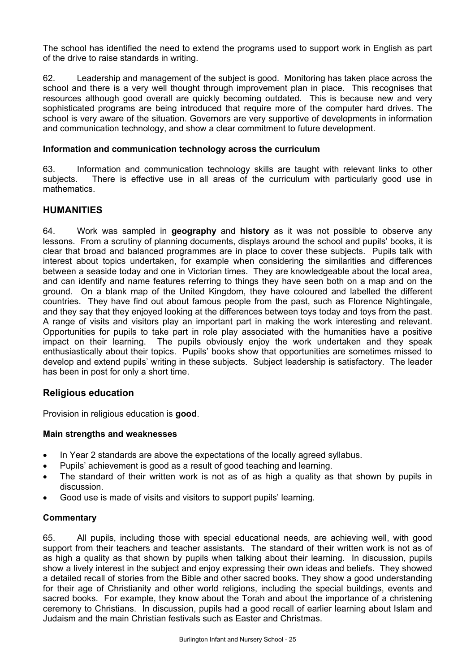The school has identified the need to extend the programs used to support work in English as part of the drive to raise standards in writing.

62. Leadership and management of the subject is good. Monitoring has taken place across the school and there is a very well thought through improvement plan in place. This recognises that resources although good overall are quickly becoming outdated. This is because new and very sophisticated programs are being introduced that require more of the computer hard drives. The school is very aware of the situation. Governors are very supportive of developments in information and communication technology, and show a clear commitment to future development.

### **Information and communication technology across the curriculum**

63. Information and communication technology skills are taught with relevant links to other subjects. There is effective use in all areas of the curriculum with particularly good use in mathematics.

### **HUMANITIES**

64. Work was sampled in **geography** and **history** as it was not possible to observe any lessons. From a scrutiny of planning documents, displays around the school and pupils' books, it is clear that broad and balanced programmes are in place to cover these subjects. Pupils talk with interest about topics undertaken, for example when considering the similarities and differences between a seaside today and one in Victorian times. They are knowledgeable about the local area, and can identify and name features referring to things they have seen both on a map and on the ground. On a blank map of the United Kingdom, they have coloured and labelled the different countries. They have find out about famous people from the past, such as Florence Nightingale, and they say that they enjoyed looking at the differences between toys today and toys from the past. A range of visits and visitors play an important part in making the work interesting and relevant. Opportunities for pupils to take part in role play associated with the humanities have a positive impact on their learning. The pupils obviously enjoy the work undertaken and they speak enthusiastically about their topics. Pupils' books show that opportunities are sometimes missed to develop and extend pupils' writing in these subjects. Subject leadership is satisfactory. The leader has been in post for only a short time.

# **Religious education**

Provision in religious education is **good**.

### **Main strengths and weaknesses**

- In Year 2 standards are above the expectations of the locally agreed syllabus.
- Pupils' achievement is good as a result of good teaching and learning.
- The standard of their written work is not as of as high a quality as that shown by pupils in discussion.
- Good use is made of visits and visitors to support pupils' learning.

### **Commentary**

65. All pupils, including those with special educational needs, are achieving well, with good support from their teachers and teacher assistants. The standard of their written work is not as of as high a quality as that shown by pupils when talking about their learning. In discussion, pupils show a lively interest in the subject and enjoy expressing their own ideas and beliefs. They showed a detailed recall of stories from the Bible and other sacred books. They show a good understanding for their age of Christianity and other world religions, including the special buildings, events and sacred books. For example, they know about the Torah and about the importance of a christening ceremony to Christians. In discussion, pupils had a good recall of earlier learning about Islam and Judaism and the main Christian festivals such as Easter and Christmas.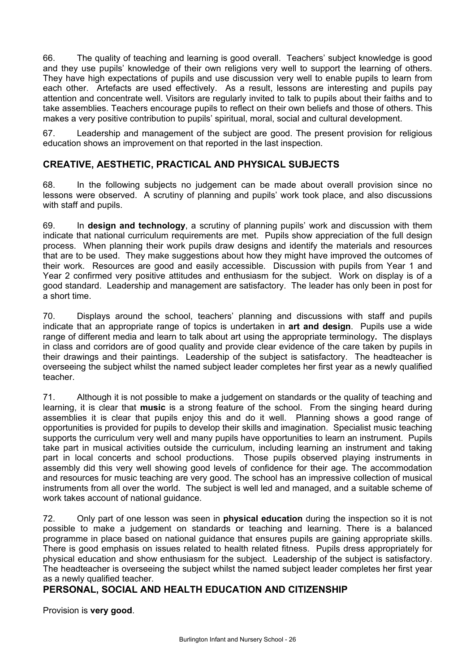66. The quality of teaching and learning is good overall. Teachers' subject knowledge is good and they use pupils' knowledge of their own religions very well to support the learning of others. They have high expectations of pupils and use discussion very well to enable pupils to learn from each other. Artefacts are used effectively. As a result, lessons are interesting and pupils pay attention and concentrate well. Visitors are regularly invited to talk to pupils about their faiths and to take assemblies. Teachers encourage pupils to reflect on their own beliefs and those of others. This makes a very positive contribution to pupils' spiritual, moral, social and cultural development.

67. Leadership and management of the subject are good. The present provision for religious education shows an improvement on that reported in the last inspection.

# **CREATIVE, AESTHETIC, PRACTICAL AND PHYSICAL SUBJECTS**

68. In the following subjects no judgement can be made about overall provision since no lessons were observed. A scrutiny of planning and pupils' work took place, and also discussions with staff and pupils.

69. In **design and technology**, a scrutiny of planning pupils' work and discussion with them indicate that national curriculum requirements are met. Pupils show appreciation of the full design process. When planning their work pupils draw designs and identify the materials and resources that are to be used. They make suggestions about how they might have improved the outcomes of their work. Resources are good and easily accessible. Discussion with pupils from Year 1 and Year 2 confirmed very positive attitudes and enthusiasm for the subject. Work on display is of a good standard. Leadership and management are satisfactory. The leader has only been in post for a short time.

70. Displays around the school, teachers' planning and discussions with staff and pupils indicate that an appropriate range of topics is undertaken in **art and design**. Pupils use a wide range of different media and learn to talk about art using the appropriate terminology**.** The displays in class and corridors are of good quality and provide clear evidence of the care taken by pupils in their drawings and their paintings. Leadership of the subject is satisfactory. The headteacher is overseeing the subject whilst the named subject leader completes her first year as a newly qualified teacher.

71. Although it is not possible to make a judgement on standards or the quality of teaching and learning, it is clear that **music** is a strong feature of the school. From the singing heard during assemblies it is clear that pupils enjoy this and do it well. Planning shows a good range of opportunities is provided for pupils to develop their skills and imagination. Specialist music teaching supports the curriculum very well and many pupils have opportunities to learn an instrument. Pupils take part in musical activities outside the curriculum, including learning an instrument and taking part in local concerts and school productions. Those pupils observed playing instruments in assembly did this very well showing good levels of confidence for their age. The accommodation and resources for music teaching are very good. The school has an impressive collection of musical instruments from all over the world. The subject is well led and managed, and a suitable scheme of work takes account of national guidance.

72. Only part of one lesson was seen in **physical education** during the inspection so it is not possible to make a judgement on standards or teaching and learning. There is a balanced programme in place based on national guidance that ensures pupils are gaining appropriate skills. There is good emphasis on issues related to health related fitness. Pupils dress appropriately for physical education and show enthusiasm for the subject. Leadership of the subject is satisfactory. The headteacher is overseeing the subject whilst the named subject leader completes her first year as a newly qualified teacher.

# **PERSONAL, SOCIAL AND HEALTH EDUCATION AND CITIZENSHIP**

Provision is **very good**.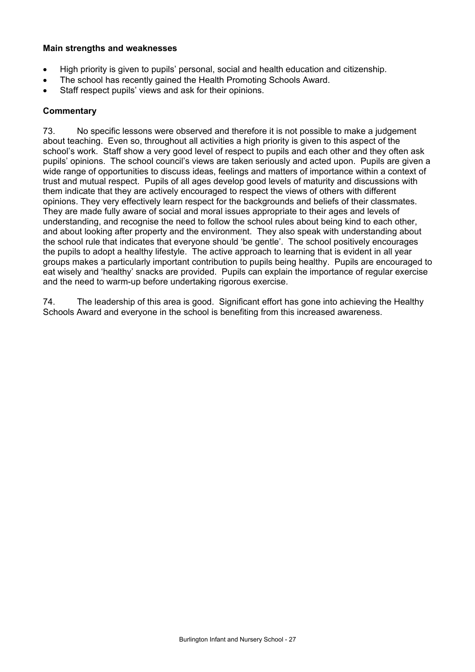### **Main strengths and weaknesses**

- High priority is given to pupils' personal, social and health education and citizenship.
- The school has recently gained the Health Promoting Schools Award.
- Staff respect pupils' views and ask for their opinions.

### **Commentary**

73. No specific lessons were observed and therefore it is not possible to make a judgement about teaching. Even so, throughout all activities a high priority is given to this aspect of the school's work. Staff show a very good level of respect to pupils and each other and they often ask pupils' opinions. The school council's views are taken seriously and acted upon. Pupils are given a wide range of opportunities to discuss ideas, feelings and matters of importance within a context of trust and mutual respect. Pupils of all ages develop good levels of maturity and discussions with them indicate that they are actively encouraged to respect the views of others with different opinions. They very effectively learn respect for the backgrounds and beliefs of their classmates. They are made fully aware of social and moral issues appropriate to their ages and levels of understanding, and recognise the need to follow the school rules about being kind to each other, and about looking after property and the environment. They also speak with understanding about the school rule that indicates that everyone should 'be gentle'. The school positively encourages the pupils to adopt a healthy lifestyle. The active approach to learning that is evident in all year groups makes a particularly important contribution to pupils being healthy. Pupils are encouraged to eat wisely and 'healthy' snacks are provided. Pupils can explain the importance of regular exercise and the need to warm-up before undertaking rigorous exercise.

74. The leadership of this area is good. Significant effort has gone into achieving the Healthy Schools Award and everyone in the school is benefiting from this increased awareness.